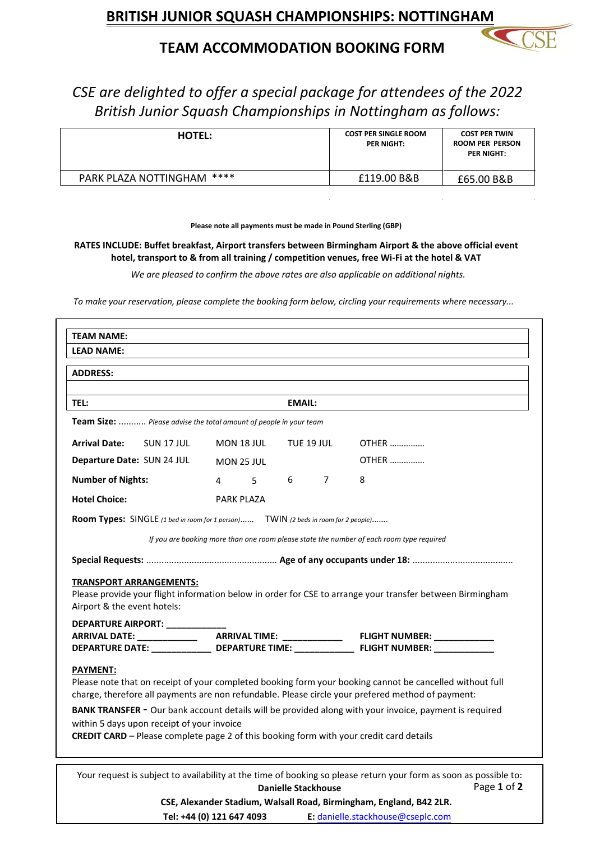## **TEAM ACCOMMODATION BOOKING FORM**

*CSE are delighted to offer a special package for attendees of the 2022 British Junior Squash Championships in Nottingham as follows:*

| <b>HOTEL:</b>              | <b>COST PER SINGLE ROOM</b><br>PER NIGHT: | <b>COST PER TWIN</b><br><b>ROOM PER PERSON</b><br>PER NIGHT: |
|----------------------------|-------------------------------------------|--------------------------------------------------------------|
| PARK PLAZA NOTTINGHAM **** | £119.00 B&B                               | £65.00 B&B                                                   |

**Please note all payments must be made in Pound Sterling (GBP)**

**RATES INCLUDE: Buffet breakfast, Airport transfers between Birmingham Airport & the above official event hotel, transport to & from all training / competition venues, free Wi-Fi at the hotel & VAT** 

*We are pleased to confirm the above rates are also applicable on additional nights.*

*To make your reservation, please complete the booking form below, circling your requirements where necessary...*

| <b>TEAM NAME:</b>                                                                                        |                |                          |                            |   |                                                                                                                   |  |  |
|----------------------------------------------------------------------------------------------------------|----------------|--------------------------|----------------------------|---|-------------------------------------------------------------------------------------------------------------------|--|--|
| <b>LEAD NAME:</b>                                                                                        |                |                          |                            |   |                                                                                                                   |  |  |
| <b>ADDRESS:</b>                                                                                          |                |                          |                            |   |                                                                                                                   |  |  |
|                                                                                                          |                |                          |                            |   |                                                                                                                   |  |  |
| <b>TEL:</b>                                                                                              |                |                          | <b>EMAIL:</b>              |   |                                                                                                                   |  |  |
| Team Size:  Please advise the total amount of people in your team                                        |                |                          |                            |   |                                                                                                                   |  |  |
| <b>Arrival Date:</b><br>SUN 17 JUL                                                                       |                | MON 18 JUL<br>TUE 19 JUL |                            |   | $OTHFR$                                                                                                           |  |  |
| Departure Date: SUN 24 JUL                                                                               |                | <b>MON 25 JUL</b>        |                            |   | <b>OTHER</b>                                                                                                      |  |  |
| <b>Number of Nights:</b>                                                                                 | $\overline{4}$ | 5                        | 6                          | 7 | 8                                                                                                                 |  |  |
| <b>Hotel Choice:</b>                                                                                     |                | PARK PLAZA               |                            |   |                                                                                                                   |  |  |
| Room Types: SINGLE (1 bed in room for 1 person) TWIN (2 beds in room for 2 people)                       |                |                          |                            |   |                                                                                                                   |  |  |
|                                                                                                          |                |                          |                            |   |                                                                                                                   |  |  |
|                                                                                                          |                |                          |                            |   | If you are booking more than one room please state the number of each room type required                          |  |  |
|                                                                                                          |                |                          |                            |   |                                                                                                                   |  |  |
| <b>TRANSPORT ARRANGEMENTS:</b>                                                                           |                |                          |                            |   |                                                                                                                   |  |  |
|                                                                                                          |                |                          |                            |   | Please provide your flight information below in order for CSE to arrange your transfer between Birmingham         |  |  |
| Airport & the event hotels:                                                                              |                |                          |                            |   |                                                                                                                   |  |  |
| DEPARTURE AIRPORT: ___________                                                                           |                |                          |                            |   |                                                                                                                   |  |  |
| ARRIVAL DATE: ______________  ARRIVAL TIME: _____________                                                |                |                          |                            |   | FLIGHT NUMBER: NAMEL AND THE RESERVE TO A TABLE                                                                   |  |  |
|                                                                                                          |                |                          |                            |   | DEPARTURE DATE: ________________ DEPARTURE TIME: ________________ FLIGHT NUMBER: ____________                     |  |  |
| <b>PAYMENT:</b>                                                                                          |                |                          |                            |   |                                                                                                                   |  |  |
| Please note that on receipt of your completed booking form your booking cannot be cancelled without full |                |                          |                            |   |                                                                                                                   |  |  |
|                                                                                                          |                |                          |                            |   | charge, therefore all payments are non refundable. Please circle your prefered method of payment:                 |  |  |
|                                                                                                          |                |                          |                            |   | BANK TRANSFER - Our bank account details will be provided along with your invoice, payment is required            |  |  |
| within 5 days upon receipt of your invoice                                                               |                |                          |                            |   |                                                                                                                   |  |  |
| <b>CREDIT CARD</b> - Please complete page 2 of this booking form with your credit card details           |                |                          |                            |   |                                                                                                                   |  |  |
|                                                                                                          |                |                          |                            |   | Your request is subject to availability at the time of booking so please return your form as soon as possible to: |  |  |
|                                                                                                          |                |                          | <b>Danielle Stackhouse</b> |   | Page 1 of 2                                                                                                       |  |  |
|                                                                                                          |                |                          |                            |   |                                                                                                                   |  |  |

**Tel: +44 (0) 121 647 4093 E:** danielle.stackhouse@cseplc.com